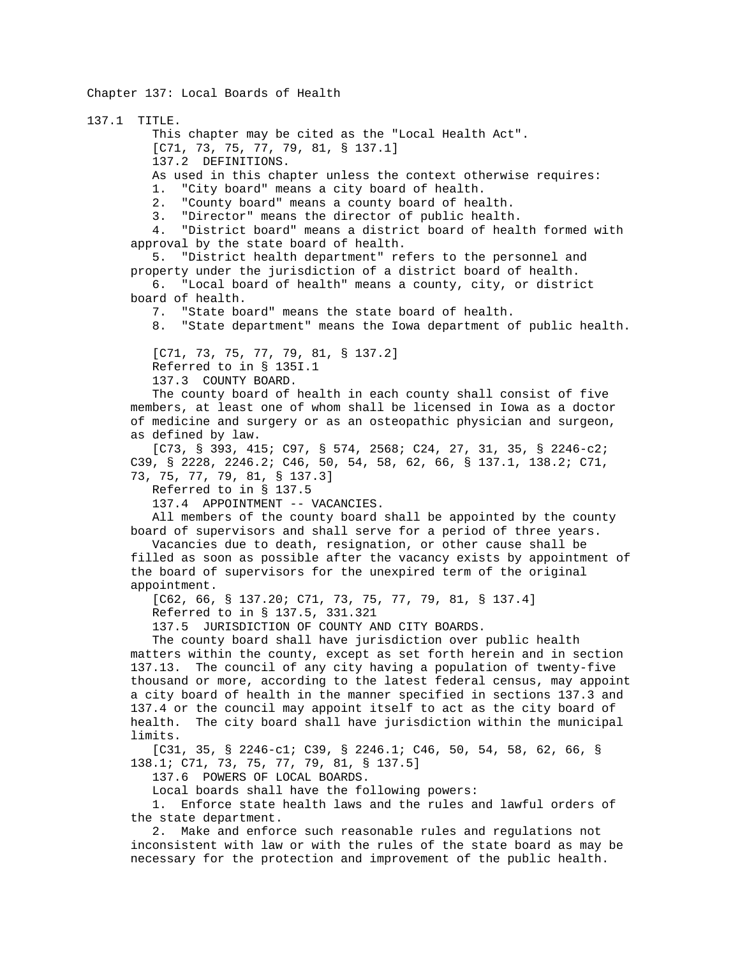Chapter 137: Local Boards of Health

137.1 TITLE. This chapter may be cited as the "Local Health Act". [C71, 73, 75, 77, 79, 81, § 137.1] 137.2 DEFINITIONS. As used in this chapter unless the context otherwise requires: 1. "City board" means a city board of health. 2. "County board" means a county board of health.<br>3. "Director" means the director of public health "Director" means the director of public health. 4. "District board" means a district board of health formed with approval by the state board of health. 5. "District health department" refers to the personnel and property under the jurisdiction of a district board of health. 6. "Local board of health" means a county, city, or district board of health. 7. "State board" means the state board of health. 8. "State department" means the Iowa department of public health. [C71, 73, 75, 77, 79, 81, § 137.2] Referred to in § 135I.1 137.3 COUNTY BOARD. The county board of health in each county shall consist of five members, at least one of whom shall be licensed in Iowa as a doctor of medicine and surgery or as an osteopathic physician and surgeon, as defined by law. [C73, § 393, 415; C97, § 574, 2568; C24, 27, 31, 35, § 2246-c2; C39, § 2228, 2246.2; C46, 50, 54, 58, 62, 66, § 137.1, 138.2; C71, 73, 75, 77, 79, 81, § 137.3] Referred to in § 137.5 137.4 APPOINTMENT -- VACANCIES. All members of the county board shall be appointed by the county board of supervisors and shall serve for a period of three years. Vacancies due to death, resignation, or other cause shall be filled as soon as possible after the vacancy exists by appointment of the board of supervisors for the unexpired term of the original appointment. [C62, 66, § 137.20; C71, 73, 75, 77, 79, 81, § 137.4] Referred to in § 137.5, 331.321 137.5 JURISDICTION OF COUNTY AND CITY BOARDS. The county board shall have jurisdiction over public health matters within the county, except as set forth herein and in section 137.13. The council of any city having a population of twenty-five thousand or more, according to the latest federal census, may appoint a city board of health in the manner specified in sections 137.3 and 137.4 or the council may appoint itself to act as the city board of health. The city board shall have jurisdiction within the municipal limits. [C31, 35, § 2246-c1; C39, § 2246.1; C46, 50, 54, 58, 62, 66, § 138.1; C71, 73, 75, 77, 79, 81, § 137.5] 137.6 POWERS OF LOCAL BOARDS. Local boards shall have the following powers: 1. Enforce state health laws and the rules and lawful orders of the state department.

 2. Make and enforce such reasonable rules and regulations not inconsistent with law or with the rules of the state board as may be necessary for the protection and improvement of the public health.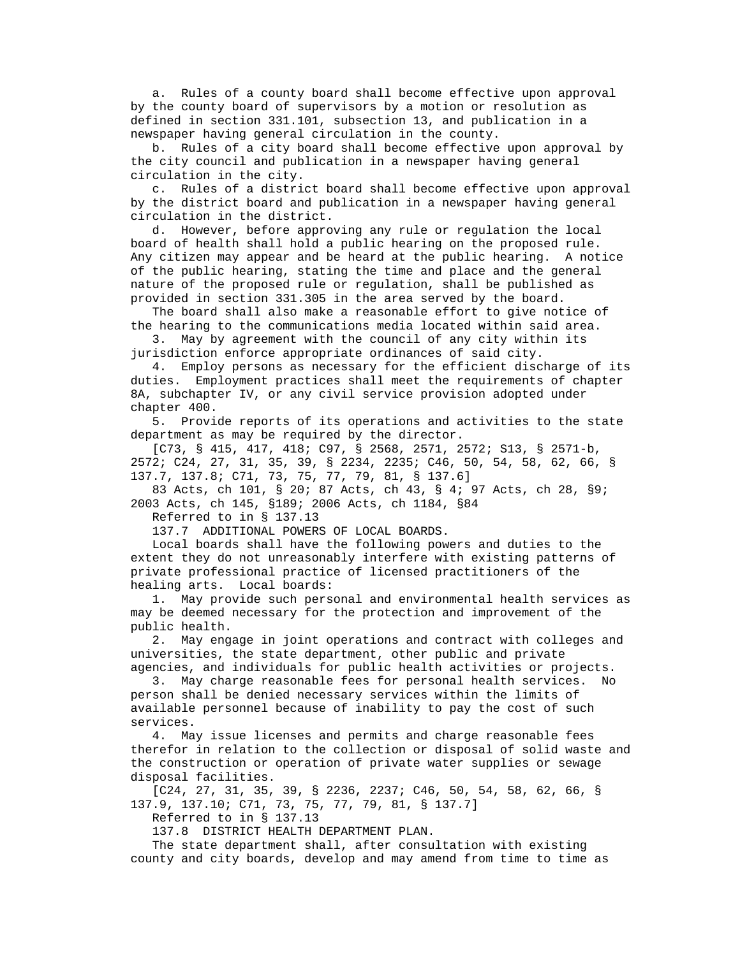a. Rules of a county board shall become effective upon approval by the county board of supervisors by a motion or resolution as defined in section 331.101, subsection 13, and publication in a newspaper having general circulation in the county.

 b. Rules of a city board shall become effective upon approval by the city council and publication in a newspaper having general circulation in the city.

 c. Rules of a district board shall become effective upon approval by the district board and publication in a newspaper having general circulation in the district.

 d. However, before approving any rule or regulation the local board of health shall hold a public hearing on the proposed rule. Any citizen may appear and be heard at the public hearing. A notice of the public hearing, stating the time and place and the general nature of the proposed rule or regulation, shall be published as provided in section 331.305 in the area served by the board.

 The board shall also make a reasonable effort to give notice of the hearing to the communications media located within said area.

 3. May by agreement with the council of any city within its jurisdiction enforce appropriate ordinances of said city.

 4. Employ persons as necessary for the efficient discharge of its duties. Employment practices shall meet the requirements of chapter 8A, subchapter IV, or any civil service provision adopted under chapter 400.

 5. Provide reports of its operations and activities to the state department as may be required by the director.

 [C73, § 415, 417, 418; C97, § 2568, 2571, 2572; S13, § 2571-b, 2572; C24, 27, 31, 35, 39, § 2234, 2235; C46, 50, 54, 58, 62, 66, § 137.7, 137.8; C71, 73, 75, 77, 79, 81, § 137.6]

 83 Acts, ch 101, § 20; 87 Acts, ch 43, § 4; 97 Acts, ch 28, §9; 2003 Acts, ch 145, §189; 2006 Acts, ch 1184, §84

Referred to in § 137.13

137.7 ADDITIONAL POWERS OF LOCAL BOARDS.

 Local boards shall have the following powers and duties to the extent they do not unreasonably interfere with existing patterns of private professional practice of licensed practitioners of the healing arts. Local boards:

 1. May provide such personal and environmental health services as may be deemed necessary for the protection and improvement of the public health.

 2. May engage in joint operations and contract with colleges and universities, the state department, other public and private agencies, and individuals for public health activities or projects.

 3. May charge reasonable fees for personal health services. No person shall be denied necessary services within the limits of available personnel because of inability to pay the cost of such services.

 4. May issue licenses and permits and charge reasonable fees therefor in relation to the collection or disposal of solid waste and the construction or operation of private water supplies or sewage disposal facilities.

 [C24, 27, 31, 35, 39, § 2236, 2237; C46, 50, 54, 58, 62, 66, § 137.9, 137.10; C71, 73, 75, 77, 79, 81, § 137.7]

Referred to in § 137.13

137.8 DISTRICT HEALTH DEPARTMENT PLAN.

 The state department shall, after consultation with existing county and city boards, develop and may amend from time to time as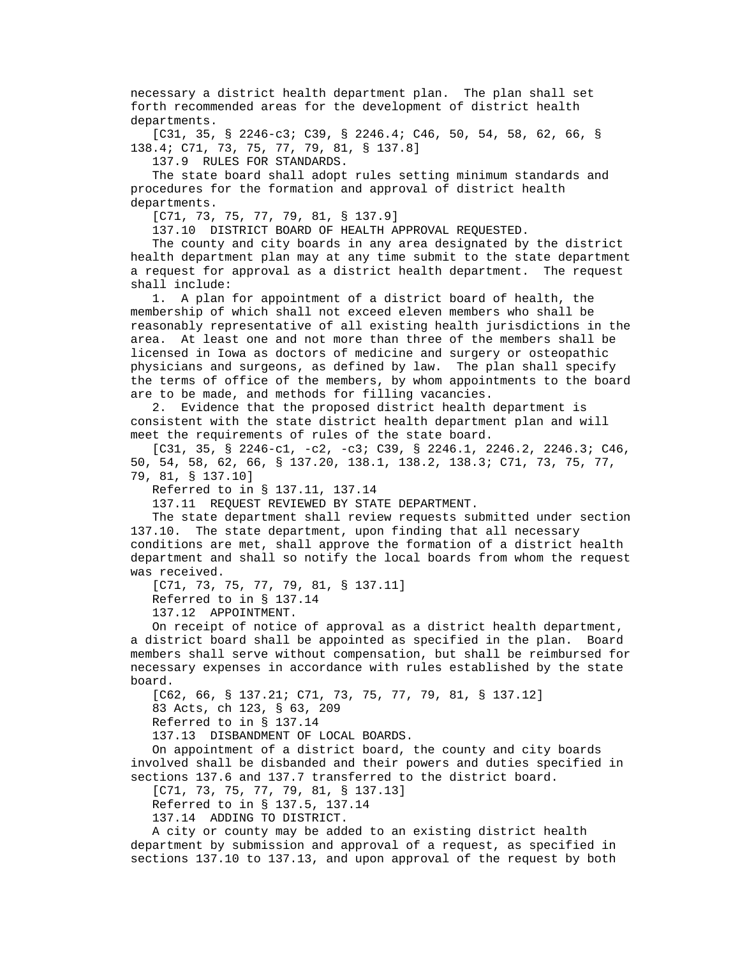necessary a district health department plan. The plan shall set forth recommended areas for the development of district health departments.

 [C31, 35, § 2246-c3; C39, § 2246.4; C46, 50, 54, 58, 62, 66, § 138.4; C71, 73, 75, 77, 79, 81, § 137.8]

137.9 RULES FOR STANDARDS.

 The state board shall adopt rules setting minimum standards and procedures for the formation and approval of district health departments.

[C71, 73, 75, 77, 79, 81, § 137.9]

137.10 DISTRICT BOARD OF HEALTH APPROVAL REQUESTED.

 The county and city boards in any area designated by the district health department plan may at any time submit to the state department a request for approval as a district health department. The request shall include:

 1. A plan for appointment of a district board of health, the membership of which shall not exceed eleven members who shall be reasonably representative of all existing health jurisdictions in the area. At least one and not more than three of the members shall be licensed in Iowa as doctors of medicine and surgery or osteopathic physicians and surgeons, as defined by law. The plan shall specify the terms of office of the members, by whom appointments to the board are to be made, and methods for filling vacancies.

 2. Evidence that the proposed district health department is consistent with the state district health department plan and will meet the requirements of rules of the state board.

 $[C31, 35, S 2246-c1, -c2, -c3; C39, S 2246.1, 2246.2, 2246.3; C46,$  50, 54, 58, 62, 66, § 137.20, 138.1, 138.2, 138.3; C71, 73, 75, 77, 79, 81, § 137.10]

Referred to in § 137.11, 137.14

137.11 REQUEST REVIEWED BY STATE DEPARTMENT.

 The state department shall review requests submitted under section 137.10. The state department, upon finding that all necessary conditions are met, shall approve the formation of a district health department and shall so notify the local boards from whom the request was received.

[C71, 73, 75, 77, 79, 81, § 137.11] Referred to in § 137.14 137.12 APPOINTMENT.

 On receipt of notice of approval as a district health department, a district board shall be appointed as specified in the plan. Board members shall serve without compensation, but shall be reimbursed for necessary expenses in accordance with rules established by the state board.

 [C62, 66, § 137.21; C71, 73, 75, 77, 79, 81, § 137.12] 83 Acts, ch 123, § 63, 209

Referred to in § 137.14

137.13 DISBANDMENT OF LOCAL BOARDS.

 On appointment of a district board, the county and city boards involved shall be disbanded and their powers and duties specified in sections 137.6 and 137.7 transferred to the district board.

[C71, 73, 75, 77, 79, 81, § 137.13]

Referred to in § 137.5, 137.14

137.14 ADDING TO DISTRICT.

 A city or county may be added to an existing district health department by submission and approval of a request, as specified in sections 137.10 to 137.13, and upon approval of the request by both